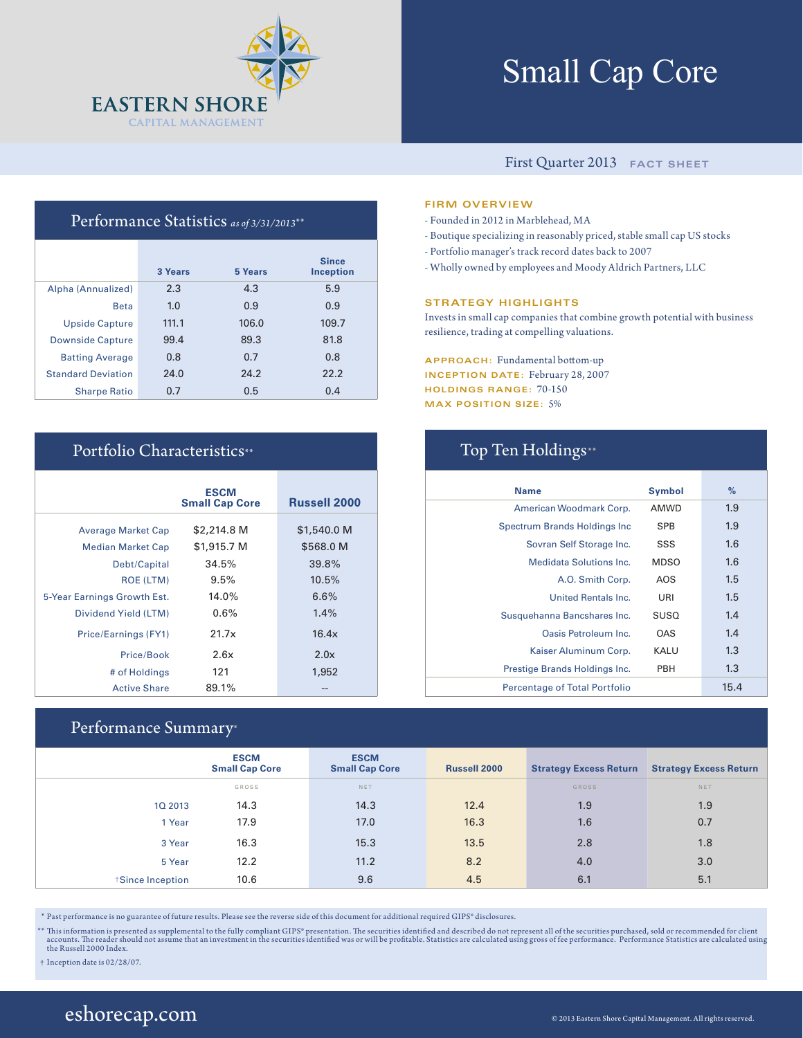

# Small Cap Core

### First Quarter 2013 **FACT SHEET**

### Performance Statistics *as of 3/31/2013*\*\*

|                           | 3 Years | 5 Years | <b>Since</b><br><b>Inception</b> |
|---------------------------|---------|---------|----------------------------------|
| Alpha (Annualized)        | 2.3     | 4.3     | 5.9                              |
| <b>Beta</b>               | 1.0     | 0.9     | 0.9                              |
| <b>Upside Capture</b>     | 111.1   | 106.0   | 109.7                            |
| <b>Downside Capture</b>   | 99.4    | 89.3    | 81.8                             |
| <b>Batting Average</b>    | 0.8     | 0.7     | 0.8                              |
| <b>Standard Deviation</b> | 24.0    | 24.2    | 22.2                             |
| <b>Sharpe Ratio</b>       | 0.7     | 0.5     | 0.4                              |

|                             | <b>ESCM</b><br><b>Small Cap Core</b> | <b>Russell 2000</b> |
|-----------------------------|--------------------------------------|---------------------|
| <b>Average Market Cap</b>   | \$2,214.8 M                          | \$1,540.0 M         |
| <b>Median Market Cap</b>    | \$1,915.7 M                          | \$568.0 M           |
| Debt/Capital                | 34.5%                                | 39.8%               |
| <b>ROE (LTM)</b>            | 9.5%                                 | 10.5%               |
| 5-Year Earnings Growth Est. | 14.0%                                | 6.6%                |
| Dividend Yield (LTM)        | 0.6%                                 | 1.4%                |
| Price/Earnings (FY1)        | 21.7x                                | 16.4x               |
| Price/Book                  | 2.6x                                 | 2.0x                |
| # of Holdings               | 121                                  | 1,952               |
| <b>Active Share</b>         | 89.1%                                |                     |

### Performance Summary\*

|                 | <b>ESCM</b><br><b>Small Cap Core</b> | <b>ESCM</b><br><b>Small Cap Core</b> | <b>Russell 2000</b> | <b>Strategy Excess Return</b> | <b>Strategy Excess Return</b> |
|-----------------|--------------------------------------|--------------------------------------|---------------------|-------------------------------|-------------------------------|
|                 | GROSS                                | NET                                  |                     | <b>GROSS</b>                  | <b>NET</b>                    |
| 10 2013         | 14.3                                 | 14.3                                 | 12.4                | 1.9                           | 1.9                           |
| 1 Year          | 17.9                                 | 17.0                                 | 16.3                | 1.6                           | 0.7                           |
| 3 Year          | 16.3                                 | 15.3                                 | 13.5                | 2.8                           | 1.8                           |
| 5 Year          | 12.2                                 | 11.2                                 | 8.2                 | 4.0                           | 3.0                           |
| Since Inception | 10.6                                 | 9.6                                  | 4.5                 | 6.1                           | 5.1                           |

\* Past performance is no guarantee of future results. Please see the reverse side of this document for additional required GIPS® disclosures.

\*\* This information is presented as supplemental to the fully compliant GIPS\* presentation. The securities identified and described do not represent all of the securities purchased, sold or recommended for client accounts.

† Inception date is 02/28/07.

### **FIRM OVERVIEW**

- Founded in 2012 in Marblehead, MA
- Boutique specializing in reasonably priced, stable small cap US stocks
- Portfolio manager's track record dates back to 2007
- Wholly owned by employees and Moody Aldrich Partners, LLC

#### **STRATEGY HIGHLIGHTS**

Invests in small cap companies that combine growth potential with business resilience, trading at compelling valuations.

**APPROACH:** Fundamental bottom-up **INCEPTION DATE:** February 28, 2007 **HOLDINGS RANGE:** 70-150 **MAX POSITION SIZE:** 5%

## Portfolio Characteristics\*\* Top Ten Holdings\*\*

| <b>Name</b>                          | <b>Symbol</b> | $\%$    |
|--------------------------------------|---------------|---------|
| American Woodmark Corp.              | <b>AMWD</b>   | 1.9     |
| Spectrum Brands Holdings Inc.        | <b>SPB</b>    | 1.9     |
| Sovran Self Storage Inc.             | SSS           | $1.6\,$ |
| <b>Medidata Solutions Inc.</b>       | MDSO          | 1.6     |
| A.O. Smith Corp.                     | AOS           | 1.5     |
| <b>United Rentals Inc.</b>           | URI           | 1.5     |
| Susquehanna Bancshares Inc.          | <b>SUSQ</b>   | 1.4     |
| Oasis Petroleum Inc.                 | <b>OAS</b>    | 1.4     |
| Kaiser Aluminum Corp.                | KALU          | 1.3     |
| Prestige Brands Holdings Inc.        | PBH           | 1.3     |
| <b>Percentage of Total Portfolio</b> |               | 15.4    |